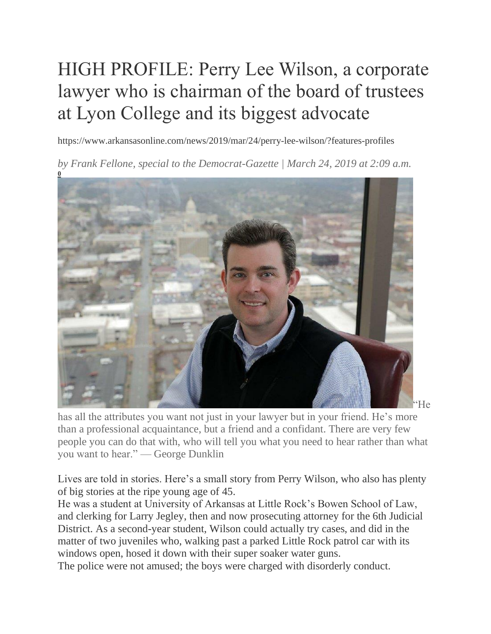# HIGH PROFILE: Perry Lee Wilson, a corporate lawyer who is chairman of the board of trustees at Lyon College and its biggest advocate

https://www.arkansasonline.com/news/2019/mar/24/perry-lee-wilson/?features-profiles

*by Frank Fellone, special to the Democrat-Gazette | March 24, 2019 at 2:09 a.m.*



has all the attributes you want not just in your lawyer but in your friend. He's more than a professional acquaintance, but a friend and a confidant. There are very few people you can do that with, who will tell you what you need to hear rather than what you want to hear." — George Dunklin

Lives are told in stories. Here's a small story from Perry Wilson, who also has plenty of big stories at the ripe young age of 45.

He was a student at University of Arkansas at Little Rock's Bowen School of Law, and clerking for Larry Jegley, then and now prosecuting attorney for the 6th Judicial District. As a second-year student, Wilson could actually try cases, and did in the matter of two juveniles who, walking past a parked Little Rock patrol car with its windows open, hosed it down with their super soaker water guns.

The police were not amused; the boys were charged with disorderly conduct.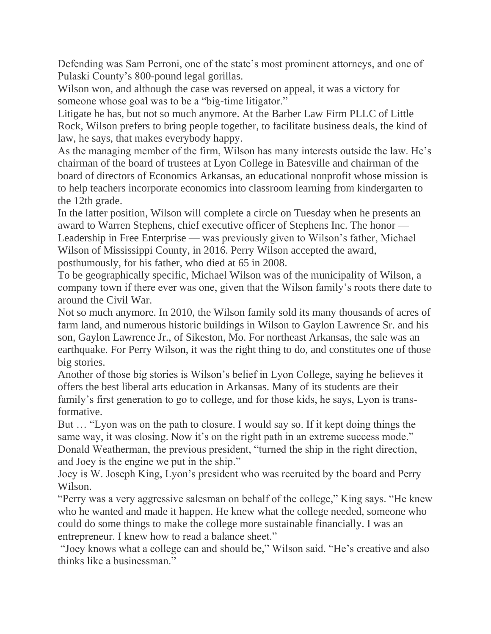Defending was Sam Perroni, one of the state's most prominent attorneys, and one of Pulaski County's 800-pound legal gorillas.

Wilson won, and although the case was reversed on appeal, it was a victory for someone whose goal was to be a "big-time litigator."

Litigate he has, but not so much anymore. At the Barber Law Firm PLLC of Little Rock, Wilson prefers to bring people together, to facilitate business deals, the kind of law, he says, that makes everybody happy.

As the managing member of the firm, Wilson has many interests outside the law. He's chairman of the board of trustees at Lyon College in Batesville and chairman of the board of directors of Economics Arkansas, an educational nonprofit whose mission is to help teachers incorporate economics into classroom learning from kindergarten to the 12th grade.

In the latter position, Wilson will complete a circle on Tuesday when he presents an award to Warren Stephens, chief executive officer of Stephens Inc. The honor — Leadership in Free Enterprise — was previously given to Wilson's father, Michael Wilson of Mississippi County, in 2016. Perry Wilson accepted the award, posthumously, for his father, who died at 65 in 2008.

To be geographically specific, Michael Wilson was of the municipality of Wilson, a company town if there ever was one, given that the Wilson family's roots there date to around the Civil War.

Not so much anymore. In 2010, the Wilson family sold its many thousands of acres of farm land, and numerous historic buildings in Wilson to Gaylon Lawrence Sr. and his son, Gaylon Lawrence Jr., of Sikeston, Mo. For northeast Arkansas, the sale was an earthquake. For Perry Wilson, it was the right thing to do, and constitutes one of those big stories.

Another of those big stories is Wilson's belief in Lyon College, saying he believes it offers the best liberal arts education in Arkansas. Many of its students are their family's first generation to go to college, and for those kids, he says, Lyon is transformative.

But … "Lyon was on the path to closure. I would say so. If it kept doing things the same way, it was closing. Now it's on the right path in an extreme success mode." Donald Weatherman, the previous president, "turned the ship in the right direction, and Joey is the engine we put in the ship."

Joey is W. Joseph King, Lyon's president who was recruited by the board and Perry Wilson.

"Perry was a very aggressive salesman on behalf of the college," King says. "He knew who he wanted and made it happen. He knew what the college needed, someone who could do some things to make the college more sustainable financially. I was an entrepreneur. I knew how to read a balance sheet."

"Joey knows what a college can and should be," Wilson said. "He's creative and also thinks like a businessman."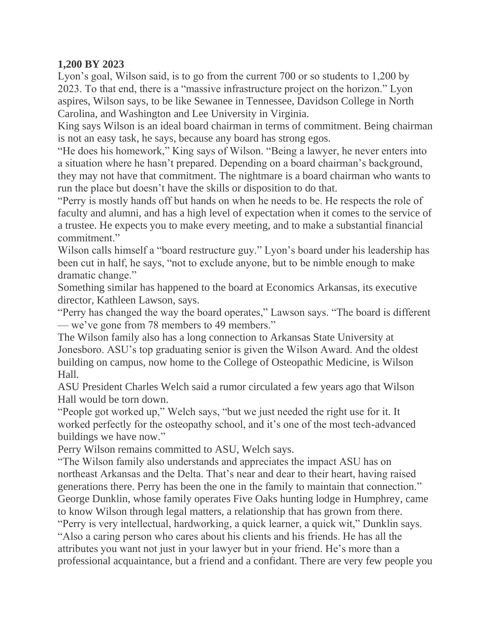#### **1,200 BY 2023**

Lyon's goal, Wilson said, is to go from the current 700 or so students to 1,200 by 2023. To that end, there is a "massive infrastructure project on the horizon." Lyon aspires, Wilson says, to be like Sewanee in Tennessee, Davidson College in North Carolina, and Washington and Lee University in Virginia.

King says Wilson is an ideal board chairman in terms of commitment. Being chairman is not an easy task, he says, because any board has strong egos.

"He does his homework," King says of Wilson. "Being a lawyer, he never enters into a situation where he hasn't prepared. Depending on a board chairman's background, they may not have that commitment. The nightmare is a board chairman who wants to run the place but doesn't have the skills or disposition to do that.

"Perry is mostly hands off but hands on when he needs to be. He respects the role of faculty and alumni, and has a high level of expectation when it comes to the service of a trustee. He expects you to make every meeting, and to make a substantial financial commitment."

Wilson calls himself a "board restructure guy." Lyon's board under his leadership has been cut in half, he says, "not to exclude anyone, but to be nimble enough to make dramatic change."

Something similar has happened to the board at Economics Arkansas, its executive director, Kathleen Lawson, says.

"Perry has changed the way the board operates," Lawson says. "The board is different — we've gone from 78 members to 49 members."

The Wilson family also has a long connection to Arkansas State University at Jonesboro. ASU's top graduating senior is given the Wilson Award. And the oldest building on campus, now home to the College of Osteopathic Medicine, is Wilson Hall.

ASU President Charles Welch said a rumor circulated a few years ago that Wilson Hall would be torn down.

"People got worked up," Welch says, "but we just needed the right use for it. It worked perfectly for the osteopathy school, and it's one of the most tech-advanced buildings we have now."

Perry Wilson remains committed to ASU, Welch says.

"The Wilson family also understands and appreciates the impact ASU has on northeast Arkansas and the Delta. That's near and dear to their heart, having raised generations there. Perry has been the one in the family to maintain that connection." George Dunklin, whose family operates Five Oaks hunting lodge in Humphrey, came to know Wilson through legal matters, a relationship that has grown from there. "Perry is very intellectual, hardworking, a quick learner, a quick wit," Dunklin says.

"Also a caring person who cares about his clients and his friends. He has all the attributes you want not just in your lawyer but in your friend. He's more than a professional acquaintance, but a friend and a confidant. There are very few people you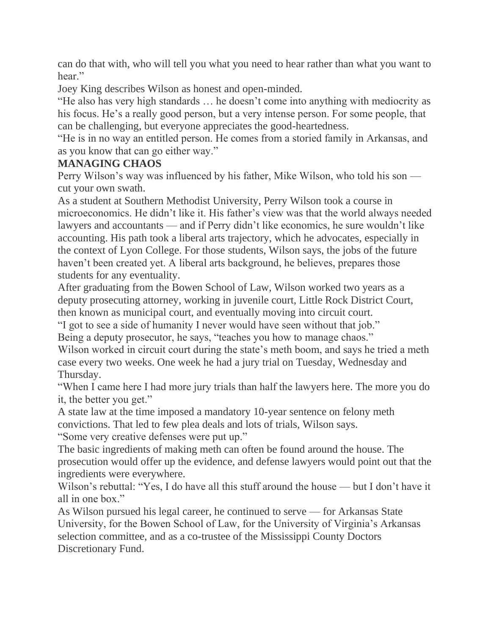can do that with, who will tell you what you need to hear rather than what you want to hear."

Joey King describes Wilson as honest and open-minded.

"He also has very high standards … he doesn't come into anything with mediocrity as his focus. He's a really good person, but a very intense person. For some people, that can be challenging, but everyone appreciates the good-heartedness.

"He is in no way an entitled person. He comes from a storied family in Arkansas, and as you know that can go either way."

#### **MANAGING CHAOS**

Perry Wilson's way was influenced by his father, Mike Wilson, who told his son cut your own swath.

As a student at Southern Methodist University, Perry Wilson took a course in microeconomics. He didn't like it. His father's view was that the world always needed lawyers and accountants — and if Perry didn't like economics, he sure wouldn't like accounting. His path took a liberal arts trajectory, which he advocates, especially in the context of Lyon College. For those students, Wilson says, the jobs of the future haven't been created yet. A liberal arts background, he believes, prepares those students for any eventuality.

After graduating from the Bowen School of Law, Wilson worked two years as a deputy prosecuting attorney, working in juvenile court, Little Rock District Court, then known as municipal court, and eventually moving into circuit court.

"I got to see a side of humanity I never would have seen without that job." Being a deputy prosecutor, he says, "teaches you how to manage chaos."

Wilson worked in circuit court during the state's meth boom, and says he tried a meth case every two weeks. One week he had a jury trial on Tuesday, Wednesday and Thursday.

"When I came here I had more jury trials than half the lawyers here. The more you do it, the better you get."

A state law at the time imposed a mandatory 10-year sentence on felony meth convictions. That led to few plea deals and lots of trials, Wilson says.

"Some very creative defenses were put up."

The basic ingredients of making meth can often be found around the house. The prosecution would offer up the evidence, and defense lawyers would point out that the ingredients were everywhere.

Wilson's rebuttal: "Yes, I do have all this stuff around the house — but I don't have it all in one box."

As Wilson pursued his legal career, he continued to serve — for Arkansas State University, for the Bowen School of Law, for the University of Virginia's Arkansas selection committee, and as a co-trustee of the Mississippi County Doctors Discretionary Fund.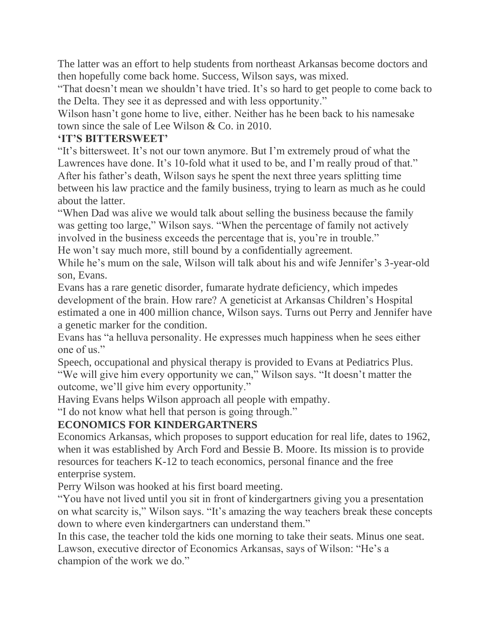The latter was an effort to help students from northeast Arkansas become doctors and then hopefully come back home. Success, Wilson says, was mixed.

"That doesn't mean we shouldn't have tried. It's so hard to get people to come back to the Delta. They see it as depressed and with less opportunity."

Wilson hasn't gone home to live, either. Neither has he been back to his namesake town since the sale of Lee Wilson & Co. in 2010.

### **'IT'S BITTERSWEET'**

"It's bittersweet. It's not our town anymore. But I'm extremely proud of what the Lawrences have done. It's 10-fold what it used to be, and I'm really proud of that." After his father's death, Wilson says he spent the next three years splitting time between his law practice and the family business, trying to learn as much as he could about the latter.

"When Dad was alive we would talk about selling the business because the family was getting too large," Wilson says. "When the percentage of family not actively involved in the business exceeds the percentage that is, you're in trouble." He won't say much more, still bound by a confidentially agreement.

While he's mum on the sale, Wilson will talk about his and wife Jennifer's 3-year-old son, Evans.

Evans has a rare genetic disorder, fumarate hydrate deficiency, which impedes development of the brain. How rare? A geneticist at Arkansas Children's Hospital estimated a one in 400 million chance, Wilson says. Turns out Perry and Jennifer have a genetic marker for the condition.

Evans has "a helluva personality. He expresses much happiness when he sees either one of us."

Speech, occupational and physical therapy is provided to Evans at Pediatrics Plus. "We will give him every opportunity we can," Wilson says. "It doesn't matter the outcome, we'll give him every opportunity."

Having Evans helps Wilson approach all people with empathy.

"I do not know what hell that person is going through."

## **ECONOMICS FOR KINDERGARTNERS**

Economics Arkansas, which proposes to support education for real life, dates to 1962, when it was established by Arch Ford and Bessie B. Moore. Its mission is to provide resources for teachers K-12 to teach economics, personal finance and the free enterprise system.

Perry Wilson was hooked at his first board meeting.

"You have not lived until you sit in front of kindergartners giving you a presentation on what scarcity is," Wilson says. "It's amazing the way teachers break these concepts down to where even kindergartners can understand them."

In this case, the teacher told the kids one morning to take their seats. Minus one seat. Lawson, executive director of Economics Arkansas, says of Wilson: "He's a champion of the work we do."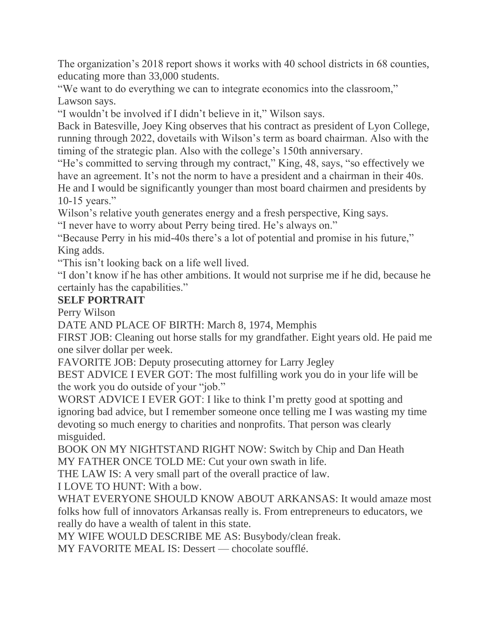The organization's 2018 report shows it works with 40 school districts in 68 counties, educating more than 33,000 students.

"We want to do everything we can to integrate economics into the classroom," Lawson says.

"I wouldn't be involved if I didn't believe in it," Wilson says.

Back in Batesville, Joey King observes that his contract as president of Lyon College, running through 2022, dovetails with Wilson's term as board chairman. Also with the timing of the strategic plan. Also with the college's 150th anniversary.

"He's committed to serving through my contract," King, 48, says, "so effectively we have an agreement. It's not the norm to have a president and a chairman in their 40s. He and I would be significantly younger than most board chairmen and presidents by 10-15 years."

Wilson's relative youth generates energy and a fresh perspective, King says.

"I never have to worry about Perry being tired. He's always on."

"Because Perry in his mid-40s there's a lot of potential and promise in his future," King adds.

"This isn't looking back on a life well lived.

"I don't know if he has other ambitions. It would not surprise me if he did, because he certainly has the capabilities."

## **SELF PORTRAIT**

Perry Wilson

DATE AND PLACE OF BIRTH: March 8, 1974, Memphis

FIRST JOB: Cleaning out horse stalls for my grandfather. Eight years old. He paid me one silver dollar per week.

FAVORITE JOB: Deputy prosecuting attorney for Larry Jegley

BEST ADVICE I EVER GOT: The most fulfilling work you do in your life will be the work you do outside of your "job."

WORST ADVICE I EVER GOT: I like to think I'm pretty good at spotting and ignoring bad advice, but I remember someone once telling me I was wasting my time devoting so much energy to charities and nonprofits. That person was clearly misguided.

BOOK ON MY NIGHTSTAND RIGHT NOW: Switch by Chip and Dan Heath MY FATHER ONCE TOLD ME: Cut your own swath in life.

THE LAW IS: A very small part of the overall practice of law.

I LOVE TO HUNT: With a bow.

WHAT EVERYONE SHOULD KNOW ABOUT ARKANSAS: It would amaze most folks how full of innovators Arkansas really is. From entrepreneurs to educators, we really do have a wealth of talent in this state.

MY WIFE WOULD DESCRIBE ME AS: Busybody/clean freak.

MY FAVORITE MEAL IS: Dessert — chocolate soufflé.